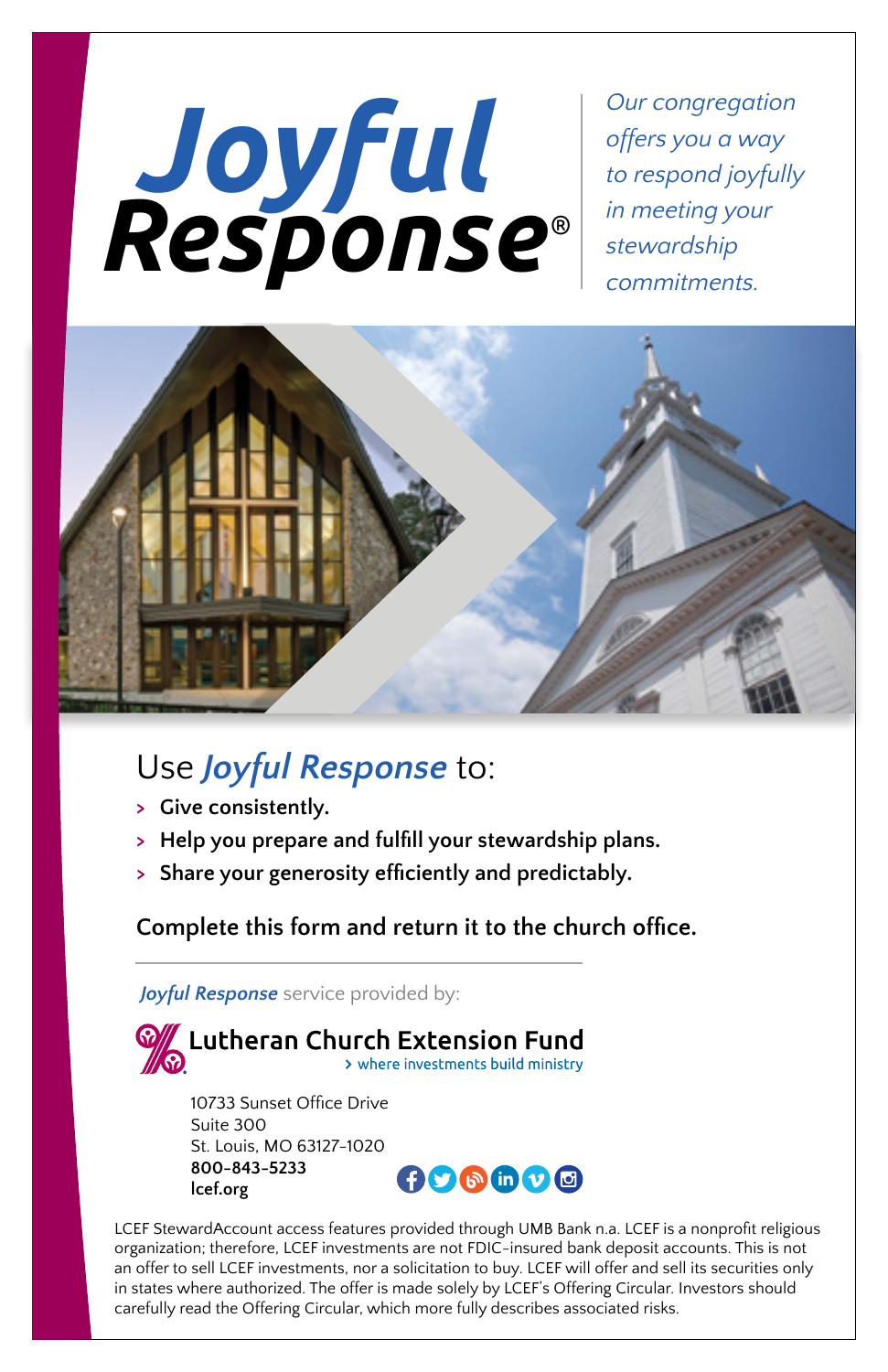# *Joyful Response* ®

*Our congregation offers you a way to respond joyfully in meeting your stewardship commitments.*



### Use *Joyful Response* to:

**> Give consistently.**

**lcef.org**

- **> Help you prepare and fulfill your stewardship plans.**
- **> Share your generosity efficiently and predictably.**

**Complete this form and return it to the church office.**

*Joyful Response* service provided by:



LCEF StewardAccount access features provided through UMB Bank n.a. LCEF is a nonprofit religious organization; therefore, LCEF investments are not FDIC-insured bank deposit accounts. This is not an offer to sell LCEF investments, nor a solicitation to buy. LCEF will offer and sell its securities only in states where authorized. The offer is made solely by LCEF's Offering Circular. Investors should carefully read the Offering Circular, which more fully describes associated risks.

**ADBAD@**